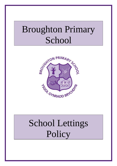## Broughton Primary School



# School Lettings Policy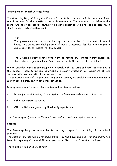#### **Statement of School Lettings Policy**

The Governing Body of Broughton Primary School is keen to see that the premises at our school are used for the benefit of the whole community. The education of children is the prime purpose of our school, however we believe education is a life- long process which should be open and accessible to all.

Aim

The governors wish the school building to be available for hire out of school hours. This serves the dual purpose of being a resource for the local community and a provider of income for the school.

The Governing Body reserves the right to refuse any lettings it may choose ie, those whose organising bodies' aims conflict with the ethos of the school

We will consider letting to any group able to comply with the terms and conditions outlined in this policy. These terms and conditions are clearly stated in our Conditions of Use documentation sent out with all application forms.

The prescribed areas of the premises (itemised on page 3) are available for hire, when not in use for school purposes, for non-school activities.

Priority for community use of the premises will be given as follows:

- i School purposes including all meetings of the Governing Body and its committees;
- ii Other educational activities;
- iii Other activities organised by third party organisations

The Governing Body reserves the right to accept or refuse any application for hire.

#### **Charges**

The Governing Body are responsible for setting charges for the hiring of the school premises.

The scale of charges will be reviewed annually by the Governing Body for implementation from the beginning of the next financial year, with effect from 1St April of that year.

The minimum hire period is one hour.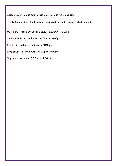#### **AREAS AVAILABLE FOR HIRE AND SCALE OF CHARGES**

The following times, facilities and equipment available are agreed as follows:

Main School Hall between the hours: 3.30pm to 10.00pm

Conference Room the hours: 9.00am to 10.00pm

Classroom the hours: 6.00pm to 10.00pm

Gymnasium Hall the hours: 9.00am to 10.00pm

Playfields the hours: 5.00pm to 7.00pm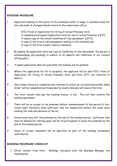#### **BOOKING PROCEDURE**

- 1 Applicants wishing to hire parts of the premises (refer to page 3, available areas for hire and scale of charges) should return to the school main office:
	- FCC's 'Form of Application for Hiring of School Premises' form
	- A completed and signed 'Application form for use of School Premises' (LET1)
	- A signed copy of the school Conditions of Use agreement; (LET2)
	- A copy of the hirer's risk assessment relating to the intended use;
	- A copy of the hirer's public liability insurance.
- 2 By signing the application form and copy of Conditions of Use Agreement, the person is acknowledging and agreeing to adhere to all aspects and conditions of our school's letting policy.
- 3 A signed application does not guarantee the booking will be granted.
- 4 Where the application for let is accepted, the applicant will be sent FCC's 'Form of Application for Hiring of School Premises' form and Form LET1. (As referred to above.)
- 5 Once these forms are completed and returned to school an 'Accounts Receivable Sales Order' will be completed and forwarded to County Hall who will invoice the hirer.
- 6 The 'hirer' should then pay the booking invoice, in full. This will then confirm the booking agreement.
- 7 There will be no access to the premises before commencement of the period of hire. Hirers must therefore allow sufficient time for preparation before the event when booking the time and duration of the let.
- 8 Hirers must have left the premises by the end of the booked period. Sufficient time must be allowed for clearing away and for all participants to leave the premises by the end of the booked period.
- 9 Hours of access requested will be specified as part of the booking acceptance confirmation.

#### **BOOKING PROCEDURE CHECKLIST**

1. Initial contact from hirer. Bookings discussed with the Business Manager and Headteacher .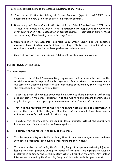- 2. Provisional booking made and entered in Lettings Diary (App. 1).
- 3. 'Form of Application for Hiring of School Premises' (App. 2), and 'LET1' form despatched to hirer. (This can be up to 12 months in advance).
- 4. Upon receipt of 'Form of Application for Hiring of School Premises', and 'LET1' form 'Accounts Receivable Sales Order' (App. 3) completed and despatched to County Hall after confirmation with Headteacher of correct charge. (Headteacher signs form as authorisation.) **Firm** booking made in Lettings Diary.
- 5. Upon receipt of 'FCC Accounts Receivable Sales Order' County Hall will despatch invoice to hirer, sending copy to school for filing. (No further contact made with school as to whether invoice has been paid unless problem arises.
- 6. Copies of Lettings Diary (current and subsequent month) given to Caretaker.

#### **CONDITIONS OF LETTING**

#### **The hirer agrees:**

- a. To observe the School Governing Body regulations that no money be paid to the caretaker/cleaner in respect of the letting since it is understood that remuneration to the caretaker/cleaner in respect of additional duties occasioned by the letting will be the responsibility of the Governing Body.
- b. To pay the School all expenses which may be incurred by them in repairing and making good any part of the school buildings or of the furniture and effects therein, which may be damaged or destroyed by/or in consequence of my/our use of the school.
- c. That it is the responsibility of the hirer to ensure that any area of accommodation used in the course of the letting is left in the condition in which it was found and is maintained in a safe condition during the letting.
- d. To ensure that no intoxicants are sold on school premises without the appropriate licence and specific approval by the Governing Body.
- e. To comply with the non-smoking policy of the school.
- f. To take responsibility for dealing with any first aid or other emergency in accordance with school procedures, both during school hours and out of hours.
- g. To be responsible for informing the Governing Body, of any person sustaining injury or loss on the school premises during the period of the hire. This information must be presented in writing to the Governing Body within 24 hours of the event. Any further information required by the Governing Body must be made available upon request.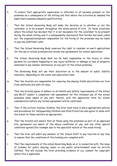- h. To ensure that appropriate supervision is afforded to all persons present on the premises as a consequence of the letting and that where the activities so demand the supervisors possess adequate qualifications.
- i. That the School Governing Body will make the decision as to whether or not the caretaker is to be present throughout the whole period of hire. In those situations where the school has decided that it is not necessary for the caretaker to be present during the whole letting and it is subsequently discovered that he/she has been called out, the organisation/person responsible for the hiring of the premises may be liable to pay any additional costs.
- j. That the School Governing Body reserves the right to consider on merit applications for the use of school premises and revoke any agreements for school operations.
- k. The School Governing Body shall not be held responsible to the hirers or other persons for accidents happening or any injury suffered, or damage or loss of property sustained in any manner whatsoever on any part of the school premises.
- l. The Governing Body will use their discretion as to the amount of public liability insurance, depending on the event and associated risks.
- m. That the hirer(s) are responsible for ensuring the playing fields and pitches are free from obstacles and safe for play.
- n. That the hirer(s) agree to adhere to all Health and Safety requirements of the school and MUST submit a completed risk assessment for the intended use of the school premises when asked or any part therein, with the application form for school consideration before any formal agreement will be confirmed.
- o. That if the activity involves children, the hirer must have in place appropriate policies and procedures for Safeguarding Children and Child Protection and agree to liaise with the school on these matters as appropriate.
- p. That the hirer(s) will ensure that all those using the premises as part of an approved hire agreement are aware of the above conditions of use, and any other special conditions agreed (for example due to the specialist nature of the areas hired).
- q. That the hirer will admit any member of the School staff to any function at any time to ensure that the conditions of this booking are complied with.
- r. That the requirements of the school Governing Body on or in connection with, the issue of licenses for public dancing, music or any public entertainment must be strictly fulfilled. This will include the hirer providing evidence of e.g. consent for copyright where this is applicable.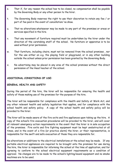- s. That if, for any reason the school has to be closed, no compensation shall be payable by the Governing Body or any other person to the hirer.
- t. The Governing Body reserves the right to use their discretion to retain any fee / or part of fee paid in the event of cancellation/ no show.
- u. That no alterations whatsoever may be made to any part of the premises or areas or services specified in the hire.
- v. That any movement of furniture required must be undertaken by the hirer under the direction of the caretaking staff of the school. No furniture or apparatus is to be used without prior permission.
- w. That furniture, including chairs, must not be removed from the school premises , nor for the use either on e.g. the playing field or playground, or in any other building outside the school unless prior permission has been granted by the Governing Body.
- x. No advertising may be placed in any area of the school premises without the direct permission of the Head teacher of the school.

#### **ADDITIONAL CONDITIONS OF USE:**

#### **GENERAL HEALTH AND SAFETY**

During the period of the hire, the hirer will be responsible for ensuring the health and safety of those making use of the premises for the purpose of the hire.

The hirer will be responsible for compliance with the Health and Safety at Work Act, and any other relevant health and safety legislation that applies, and for compliance with the school health and safety policy. A copy of the school health and safety policy will be provided to the hirer.

The hirer will be made aware of the fire exits and fire appliances upon taking up the hire. A copy of the school's fire evacuation procedures will be provided to the hirer, and will cover all relevant emergency action requirements in the event that the hirer is in sole occupation of the premises. Fire exits and fire fighting equipment must be kept unobstructed at all times, and in the event of a fire (or practice alarm) the hirer, or their representative, is responsible for the swift and safe evacuation of those they are responsible for.

No alterations or additions to the electrical installations at the school may be made. If any portable electrical appliances are required to be brought onto the premises for use during the hire, the hirer is responsible for informing the school at the time of application, and for agreeing to conform to the school electrical equipment requirements as a condition of approval. No changes are to be made to the school's lighting/sound equipment and no smoke machines are to be used.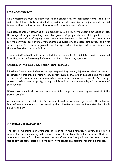#### **RISK ASSESSMENTS**

Risk Assessments must be submitted to the school with the application form. This is to ensure the school is fully informed of any potential risks relating to the purpose of use, and to ensure that the hirer's control measures will be suitable and adequate.

Risk assessments of activities should consider as a minimum, the specific activities of use, the range of people, including vulnerable groups of people who may take part in those activities, the safety of any equipment, the appropriateness of the available accommodation for the activities, car parking arrangements and suitability of access, fire safety, and first aid arrangements. Any arrangements for serving food or allowing food to be consumed on the premises should also be included.

These risk assessments will form the basis of an agreed health and safety plan to be agreed in writing with the Governing Body as a condition of the letting agreement.

#### **PARKING OF VEHICLES ON EDUCATION PREMISES**

Flintshire County Council does not accept responsibility for any injuries received, or for loss or damage to property belonging to any person, such injury, loss or damage being the result of the use of a vehicle in or upon any education premises or any part thereof. Any damage caused to educational property, by any vehicle will be the responsibility of the owners of such vehicles.

Where events are held, the hirer must undertake the proper stewarding and control of the parking area(s).

Arrangements for any deliveries to the school must be made and agreed with the school at least 48 hours in advance of the arrival of the deliveries and in accordance with the schools deliveries policy.

#### **CLEANING ARRANGEMENTS**

The school maintains high standards of cleaning of the premises, however, the hirer is responsible for the cleaning and removal of any rubbish from the school premises that have arisen as a result of the hire. Where the use of the premises (including the grounds) gives rise to any additional cleaning on the part of the school, an additional fee may be charged.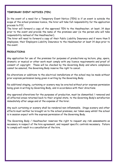#### **TEMPORARY EVENT NOTICES (TEN**)

In the event of a need for a Temporary Event Notice (TEN) ie if an event is outside the scope of the school premises licence, the hirer will take full responsibility for the application process to FCC.

The hirer will forward a copy of the approved TEN to the Headteacher, at least, 14 days prior to the event and provide the name of the premises user (ie the person who will take responsibility instead of the Headteacher).

The hirer will need to forward a copy of their Public Liability Insurance and if more than 5 employees, their Employers Liability Insurance to the Headteacher at least 14 days prior to the event.

#### **PRODUCTIONS**

Any application for use of the premises for purposes of productions eg lecture, play, opera, dramatic or musical or other work must comply with any licence requirements and proof of consent of copyright. These will be checked by the Governing Body and where compliance cannot be assured, the Governing Body reserve the right to cancel.

No alterations or additions to the electrical installations at the school may be made without prior express permission being given in writing by the Governing Body.

No additional staging, curtaining or scenery may be erected without prior express permission being given in writing by Governing Body, and in accordance with their directions.

Any approved alterations for the purposes of production, must be dismantled / removed and all affected areas returned back to their original state, to the Governing Body's satisfaction immediately after usage and at the expense of the hirer.

Any such curtaining or scenery shall be rendered non-inflammable. Stage scenery and other effects must neither be brought on to the school premises, nor taken away whilst the school is in session expect with the express permission of the Governing Body.

The Governing Body / Headteacher reserves the right to request any risk assessments as necessary in respect of the hire agreement, and request specific controls necessary. Failure to comply will result in a cancellation of the hire.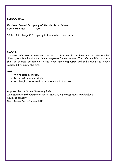#### **SCHOOL HALL**

**Maximum Seated Occupancy of the Hall is as follows:** School Main Hall 250

\*Subject to change if Occupancy includes Wheelchair users

#### **FLOORS**

The use of any preparation or material for the purpose of preparing a floor for dancing is not allowed, as this will make the floors dangerous for normal use. The safe condition of floors shall be deemed acceptable to the hirer after inspection and will remain the hirer's responsibility during the hire.

#### **GYM**

- White soled footwear.
- No outside shoes or studs.
- All changing areas need to be brushed out after use.

Approved by the School Governing Body In accordance with Flintshire County Council's LA Lettings Policy and Guidance Reviewed annually Next Review Date: Summer 2018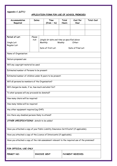**Appendix C (LET1)**

#### **APPLICATION FORM FOR USE OF SCHOOL PREMISES**

| Accommodation<br>Required                                                                     | Dates                 | Time<br>$(from - to)$                                                                                                     | Total<br><b>Hours</b> | Cost Per<br>Hour | <b>Total Cost</b> |  |
|-----------------------------------------------------------------------------------------------|-----------------------|---------------------------------------------------------------------------------------------------------------------------|-----------------------|------------------|-------------------|--|
|                                                                                               |                       |                                                                                                                           |                       |                  |                   |  |
| Period of Let:<br>Single Let:<br>Regular Let:                                                 | Please<br><b>tick</b> | (single let date and time as specified above<br>Weekly:<br>Monthly:<br>Other:<br>Date of first Let:<br>Date of Final Let: |                       |                  |                   |  |
| Name of Organisation:                                                                         |                       |                                                                                                                           |                       |                  |                   |  |
| Nature proposed use:                                                                          |                       |                                                                                                                           |                       |                  |                   |  |
| Will any copyright material be used:                                                          |                       |                                                                                                                           |                       |                  |                   |  |
| Estimated number of Persons to be present:                                                    |                       |                                                                                                                           |                       |                  |                   |  |
| Estimated number of children under 8 years to be present:                                     |                       |                                                                                                                           |                       |                  |                   |  |
| Will all persons be members of the Organisation?                                              |                       |                                                                                                                           |                       |                  |                   |  |
| Will charges be made, if so, how much and what for?                                           |                       |                                                                                                                           |                       |                  |                   |  |
| To what purpose will any proceeds be donated?                                                 |                       |                                                                                                                           |                       |                  |                   |  |
| How many chairs will be required:                                                             |                       |                                                                                                                           |                       |                  |                   |  |
| How many tables will be required:                                                             |                       |                                                                                                                           |                       |                  |                   |  |
| Any other equipment required (eg OHP):                                                        |                       |                                                                                                                           |                       |                  |                   |  |
| Are there any disabled persons likely to attend?                                              |                       |                                                                                                                           |                       |                  |                   |  |
| OTHER SPECIFICATIONS: details to be added:                                                    |                       |                                                                                                                           |                       |                  |                   |  |
| Have you attached a copy of your Public Liability Insurance Certificate? (if applicable).     |                       |                                                                                                                           |                       |                  |                   |  |
| Have you attached a copy of the Licence of Intoxicants (if applicable).                       |                       |                                                                                                                           |                       |                  |                   |  |
| Have you attached a copy of the risk assessment relevant to the required use of the premises? |                       |                                                                                                                           |                       |                  |                   |  |
| FOR OFFICIAL USE ONLY                                                                         |                       |                                                                                                                           |                       |                  |                   |  |
| PERMIT NO:                                                                                    |                       | <b>INVOICE SENT</b>                                                                                                       |                       | PAYMENT RECEIVED |                   |  |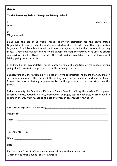### **(LET2)**

#### **To the Governing Body of Broughton Primary School**

I \_\_\_\_\_\_\_\_\_\_\_\_\_\_\_\_\_\_\_\_\_\_\_\_\_\_\_\_\_\_\_\_\_\_\_\_\_\_\_\_\_\_\_\_\_\_\_\_\_\_\_\_\_\_\_\_\_ (please print

name)

of \_\_\_\_\_\_\_\_\_\_\_\_\_\_\_\_\_\_\_\_\_\_\_\_\_\_\_\_\_\_\_\_\_\_\_\_\_\_\_\_\_\_\_\_\_\_\_\_\_\_\_\_\_\_\_\_

(Organisation)

being over the age of 18 years, hereby apply for permission for the above stated Organisation to use the school premises as stated overleaf. I understand that if permission is granted, it will be subject to all conditions of usage as stated within the school's letting policy. I have read this lettings policy and understand that the permission to use the school premises will only be effective provided the conditions and regulations stated in the school's letting policy are adhered to.

I, on behalf of my Organisation, hereby agree to follow all conditions of the school's letting policy should permission be granted to use the school premises.

I understand it is my responsibility, on behalf of the organisation, to ensure that any area of accommodation used in the course of the letting is left in the condition in which it is found. I must also ensure that my organisation leaves the premises at the time stated on the permit.

I shall indemnify the School and Flintshire County Council, and keep them indemnified against all losses, claims, demands, actions, proceedings, damages, cost or expenses, or other liability arising in any way from my use or the use by others in accordance with the let.

| Telephone No: Home                                                                                                            |
|-------------------------------------------------------------------------------------------------------------------------------|
|                                                                                                                               |
|                                                                                                                               |
| Enc: A copy of the hirer's risk assessment relating to the intended use;<br>A copy of the hirer's public liability insurance. |